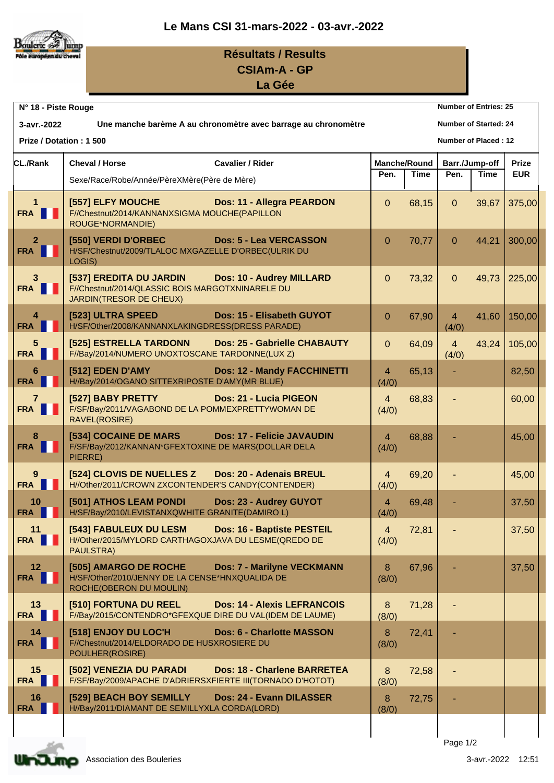



## **Résultats / Results CSIAm-A - GP**

**La Gée**

|                                                 | <b>Number of Entries: 25</b><br>N° 18 - Piste Rouge                                                    |                                             |                         |                     |                         |                |            |  |
|-------------------------------------------------|--------------------------------------------------------------------------------------------------------|---------------------------------------------|-------------------------|---------------------|-------------------------|----------------|------------|--|
| 3-avr.-2022                                     | Une manche barème A au chronomètre avec barrage au chronomètre<br><b>Number of Started: 24</b>         |                                             |                         |                     |                         |                |            |  |
| Prize / Dotation: 1 500<br>Number of Placed: 12 |                                                                                                        |                                             |                         |                     |                         |                |            |  |
| <b>CL./Rank</b>                                 | <b>Cavalier / Rider</b><br><b>Cheval / Horse</b>                                                       |                                             |                         | <b>Manche/Round</b> |                         | Barr./Jump-off |            |  |
|                                                 | Sexe/Race/Robe/Année/PèreXMère(Père de Mère)                                                           |                                             | Pen.                    | <b>Time</b>         | Pen.                    | Time           | <b>EUR</b> |  |
| $\mathbf{1}$<br>FRA                             | [557] ELFY MOUCHE<br>F//Chestnut/2014/KANNANXSIGMA MOUCHE(PAPILLON<br>ROUGE*NORMANDIE)                 | <b>Example 20 Dos: 11 - Allegra PEARDON</b> | $\mathbf{0}$            | 68,15               | $\overline{0}$          | 39,67          | 375,00     |  |
| $\mathbf{2}$<br>FRA                             | [550] VERDI D'ORBEC<br>H/SF/Chestnut/2009/TLALOC MXGAZELLE D'ORBEC(ULRIK DU<br>LOGIS)                  | <b>Dos: 5 - Lea VERCASSON</b>               | $\Omega$                | 70,77               | $\Omega$                | 44,21          | 300,00     |  |
| 3 <sup>1</sup><br>FRA                           | [537] EREDITA DU JARDIN<br>F//Chestnut/2014/QLASSIC BOIS MARGOTXNINARELE DU<br>JARDIN(TRESOR DE CHEUX) | <b>Dos: 10 - Audrey MILLARD</b>             | $\overline{0}$          | 73,32               | $\Omega$                | 49,73          | 225,00     |  |
| 4<br><b>FRA</b>                                 | [523] ULTRA SPEED<br>H/SF/Other/2008/KANNANXLAKINGDRESS(DRESS PARADE)                                  | Dos: 15 - Elisabeth GUYOT                   | $\Omega$                | 67,90               | $\overline{4}$<br>(4/0) | 41,60          | 150,00     |  |
| 5<br>FRA                                        | [525] ESTRELLA TARDONN<br>F//Bay/2014/NUMERO UNOXTOSCANE TARDONNE(LUX Z)                               | Dos: 25 - Gabrielle CHABAUTY                | $\overline{0}$          | 64,09               | $\overline{4}$<br>(4/0) | 43,24          | 105,00     |  |
| 6<br><b>FRA</b>                                 | [512] EDEN D'AMY<br>H//Bay/2014/OGANO SITTEXRIPOSTE D'AMY(MR BLUE)                                     | <b>Dos: 12 - Mandy FACCHINETTI</b>          | $\overline{4}$<br>(4/0) | 65,13               |                         |                | 82,50      |  |
| 7 <sup>1</sup><br>FRA                           | [527] BABY PRETTY<br>F/SF/Bay/2011/VAGABOND DE LA POMMEXPRETTYWOMAN DE<br>RAVEL(ROSIRE)                | <b>Dos: 21 - Lucia PIGEON</b>               | $\overline{4}$<br>(4/0) | 68,83               |                         |                | 60,00      |  |
| 8<br>FRA                                        | [534] COCAINE DE MARS<br>F/SF/Bay/2012/KANNAN*GFEXTOXINE DE MARS(DOLLAR DELA<br>PIERRE)                | <b>Dos: 17 - Felicie JAVAUDIN</b>           | $\overline{4}$<br>(4/0) | 68,88               |                         |                | 45,00      |  |
| 9<br>FRA <b>I</b>                               | [524] CLOVIS DE NUELLES Z<br>H//Other/2011/CROWN ZXCONTENDER'S CANDY(CONTENDER)                        | <b>Dos: 20 - Adenais BREUL</b>              | $\overline{4}$<br>(4/0) | 69,20               |                         |                | 45,00      |  |
| 10<br>FRA <b>I</b>                              | [501] ATHOS LEAM PONDI<br>H/SF/Bay/2010/LEVISTANXQWHITE GRANITE(DAMIRO L)                              | Dos: 23 - Audrey GUYOT                      | 4<br>(4/0)              | 69,48               |                         |                | 37,50      |  |
| 11<br>FRA                                       | [543] FABULEUX DU LESM<br>H//Other/2015/MYLORD CARTHAGOXJAVA DU LESME(QREDO DE<br>PAULSTRA)            | <b>Dos: 16 - Baptiste PESTEIL</b>           | $\overline{4}$<br>(4/0) | 72,81               |                         |                | 37,50      |  |
| 12 <sub>2</sub><br>FRA                          | [505] AMARGO DE ROCHE<br>H/SF/Other/2010/JENNY DE LA CENSE*HNXQUALIDA DE<br>ROCHE(OBERON DU MOULIN)    | <b>Dos: 7 - Marilyne VECKMANN</b>           | 8<br>(8/0)              | 67,96               |                         |                | 37,50      |  |
| 13<br>FRA                                       | [510] FORTUNA DU REEL<br>F//Bay/2015/CONTENDRO*GFEXQUE DIRE DU VAL(IDEM DE LAUME)                      | <b>Dos: 14 - Alexis LEFRANCOIS</b>          | 8<br>(8/0)              | 71,28               |                         |                |            |  |
| 14<br>FRA                                       | [518] ENJOY DU LOC'H<br>F//Chestnut/2014/ELDORADO DE HUSXROSIERE DU<br>POULHER(ROSIRE)                 | <b>Dos: 6 - Charlotte MASSON</b>            | 8<br>(8/0)              | 72,41               |                         |                |            |  |
| 15<br>FRA                                       | [502] VENEZIA DU PARADI<br>F/SF/Bay/2009/APACHE D'ADRIERSXFIERTE III(TORNADO D'HOTOT)                  | Dos: 18 - Charlene BARRETEA                 | 8<br>(8/0)              | 72,58               |                         |                |            |  |
| 16<br><b>FRA</b>                                | [529] BEACH BOY SEMILLY<br>H//Bay/2011/DIAMANT DE SEMILLYXLA CORDA(LORD)                               | Dos: 24 - Evann DILASSER                    | 8<br>(8/0)              | 72,75               |                         |                |            |  |
|                                                 |                                                                                                        |                                             |                         |                     |                         |                |            |  |
|                                                 |                                                                                                        |                                             |                         |                     | Page 1/2                |                |            |  |